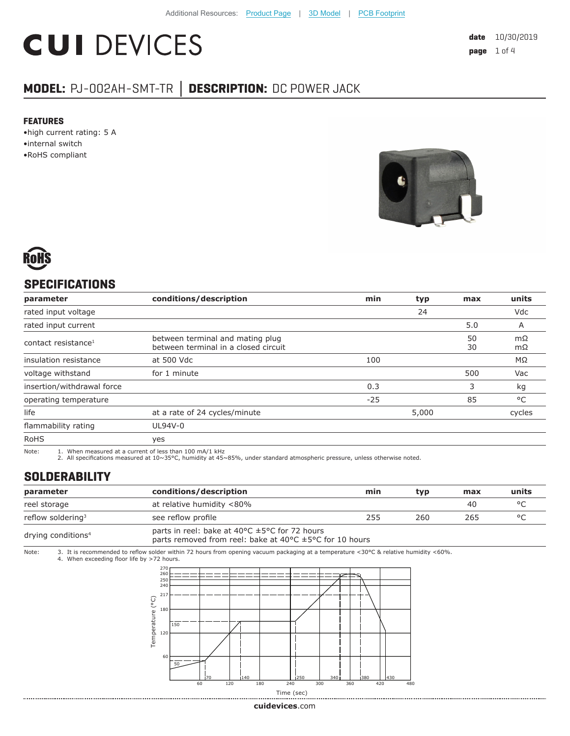# **CUI DEVICES**

### **MODEL:** PJ-002AH-SMT-TR **│ DESCRIPTION:** DC POWER JACK

#### **FEATURES**

- •high current rating: 5 A
- •internal switch
- •RoHS compliant





#### **SPECIFICATIONS**

| parameter                       | conditions/description                                                   | min   | typ   | max      | units     |
|---------------------------------|--------------------------------------------------------------------------|-------|-------|----------|-----------|
| rated input voltage             |                                                                          |       | 24    |          | Vdc       |
| rated input current             |                                                                          |       |       | 5.0      | A         |
| contact resistance <sup>1</sup> | between terminal and mating plug<br>between terminal in a closed circuit |       |       | 50<br>30 | mΩ<br>mΩ  |
| insulation resistance           | at 500 Vdc                                                               | 100   |       |          | $M\Omega$ |
| voltage withstand               | for 1 minute                                                             |       |       | 500      | Vac       |
| insertion/withdrawal force      |                                                                          | 0.3   |       | 3        | kg        |
| operating temperature           |                                                                          | $-25$ |       | 85       | °C        |
| life                            | at a rate of 24 cycles/minute                                            |       | 5,000 |          | cycles    |
| flammability rating             | UL94V-0                                                                  |       |       |          |           |
| <b>RoHS</b>                     | yes                                                                      |       |       |          |           |

Note: 1. When measured at a current of less than 100 mA/1 kHz

2. All specifications measured at 10~35°C, humidity at 45~85%, under standard atmospheric pressure, unless otherwise noted.

#### **SOLDERABILITY**

| parameter                      | conditions/description                                                                                                                                     | min | tvp | max | units   |
|--------------------------------|------------------------------------------------------------------------------------------------------------------------------------------------------------|-----|-----|-----|---------|
| reel storage                   | at relative humidity <80%                                                                                                                                  |     |     | 40  | $\circ$ |
| reflow soldering <sup>3</sup>  | see reflow profile                                                                                                                                         | 255 | 260 | 265 | $\circ$ |
| drying conditions <sup>4</sup> | parts in reel: bake at 40 $\degree$ C $\pm$ 5 $\degree$ C for 72 hours<br>parts removed from reel: bake at 40 $\degree$ C $\pm$ 5 $\degree$ C for 10 hours |     |     |     |         |

Note: 3. It is recommended to reflow solder within 72 hours from opening vacuum packaging at a temperature <30°C & relative humidity <60%. 4. When exceeding floor life by >72 hours.



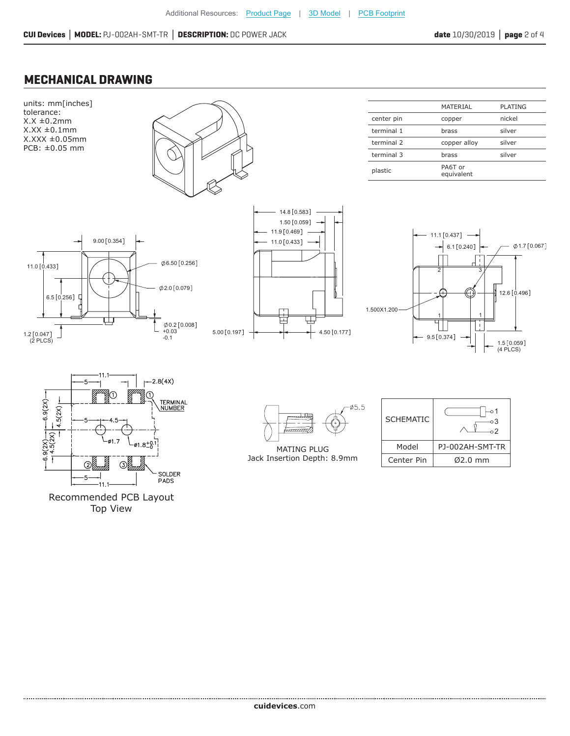#### **MECHANICAL DRAWING**



Top View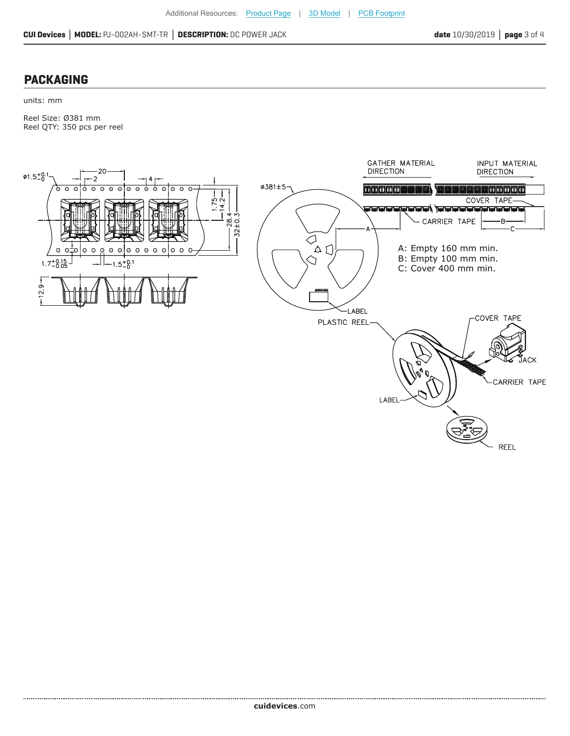#### **PACKAGING**

units: mm

Reel Size: Ø381 mm Reel QTY: 350 pcs per reel